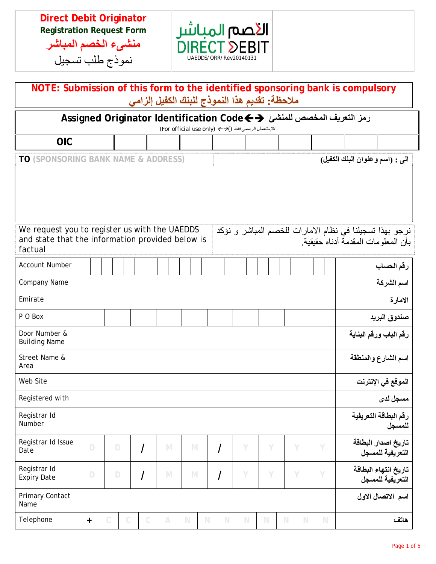**Direct Debit Originator Registration Request Form** 

**منشىء الخصم المباشر** نموذج طلب تسجيل



| NOTE: Submission of this form to the identified sponsoring bank is compulsory<br>ملاحظة: تقديم هذا النموذج للبنك الكفيل إلزامي                                                                       |             |                                 |              |  |              |             |             |             |                                 |             |             |             |             |  |             |  |                                          |
|------------------------------------------------------------------------------------------------------------------------------------------------------------------------------------------------------|-------------|---------------------------------|--------------|--|--------------|-------------|-------------|-------------|---------------------------------|-------------|-------------|-------------|-------------|--|-------------|--|------------------------------------------|
| رمز التعريف المخصص للمنشئ ��Assigned Originator Identification Code<br>للإستعمال الرسمي فقط (For official use only) ← → ()                                                                           |             |                                 |              |  |              |             |             |             |                                 |             |             |             |             |  |             |  |                                          |
| <b>OIC</b>                                                                                                                                                                                           |             |                                 |              |  |              |             |             |             |                                 |             |             |             |             |  |             |  |                                          |
| <b>TO (SPONSORING BANK NAME &amp; ADDRESS)</b>                                                                                                                                                       |             |                                 |              |  |              |             |             |             | الى : (اسم وعنوان البنك الكفيل) |             |             |             |             |  |             |  |                                          |
| We request you to register us with the UAEDDS<br>نرجو بهذا تسجيلنا في نظام الامارات للخصم المباشر و نؤكد<br>and state that the information provided below is<br>بأن المعلو مات المقدمة أدناه حقيقية. |             |                                 |              |  |              |             |             |             |                                 |             |             |             |             |  |             |  |                                          |
| factual<br><b>Account Number</b>                                                                                                                                                                     |             |                                 |              |  |              |             |             |             |                                 |             |             |             |             |  |             |  | رقم الحساب                               |
| <b>Company Name</b>                                                                                                                                                                                  |             |                                 |              |  |              |             |             |             |                                 |             |             |             |             |  |             |  | اسم الشركة                               |
| Emirate                                                                                                                                                                                              |             |                                 |              |  |              |             |             |             |                                 |             |             |             |             |  |             |  | الامارة                                  |
| P O Box                                                                                                                                                                                              |             |                                 |              |  |              |             |             |             |                                 |             |             |             |             |  |             |  | صندوق البريد                             |
| Door Number &<br><b>Building Name</b>                                                                                                                                                                |             |                                 |              |  |              |             |             |             |                                 |             |             |             |             |  |             |  | رقم الباب ورقم البناية                   |
| Street Name &<br>Area                                                                                                                                                                                |             |                                 |              |  |              |             |             |             |                                 |             |             |             |             |  |             |  | اسم الشارع والمنطقة                      |
| Web Site                                                                                                                                                                                             |             |                                 |              |  |              |             |             |             |                                 |             |             |             |             |  |             |  | الموقع في الإنترنت                       |
| Registered with                                                                                                                                                                                      |             |                                 |              |  |              |             |             |             |                                 |             |             |             |             |  |             |  | مسجل لدى                                 |
| Registrar Id<br>Number                                                                                                                                                                               |             | رقم البطاقة التعريفية<br>للمسجل |              |  |              |             |             |             |                                 |             |             |             |             |  |             |  |                                          |
| Registrar Id Issue<br>Date                                                                                                                                                                           | $\Box$      |                                 | $\mathsf D$  |  | $\prime$     | $\mathbb N$ | M           |             | $\overline{I}$<br>Y             |             | Y           |             | Y           |  | Y           |  | تاريخ اصدار البطاقة<br>التعريفية للمسجل  |
| Registrar Id<br><b>Expiry Date</b>                                                                                                                                                                   | $\mathsf D$ |                                 | $\mathsf D$  |  | /            | $\mathbb N$ |             | M           | $\overline{\phantom{a}}$        | Y           | Y           |             | Y           |  | Y           |  | تاريخ انتهاء البطاقة<br>التعريفية للمسجل |
| Primary Contact<br>Name                                                                                                                                                                              |             |                                 |              |  |              |             |             |             |                                 |             |             |             |             |  |             |  | اسم الاتصال الاول                        |
| Telephone                                                                                                                                                                                            | $\ddot{}$   | $\mathcal{C}$                   | $\mathbb{C}$ |  | $\mathbb{C}$ | $\wedge$    | $\mathbb N$ | $\mathbb N$ | $\mathbb N$                     | $\mathbb N$ | $\mathbb N$ | $\mathbb N$ | $\mathbb N$ |  | $\mathbb N$ |  | هاتف                                     |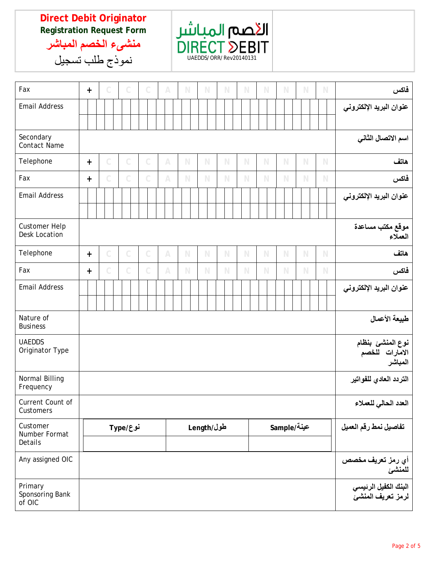## **Direct Debit Originator Registration Request Form**



**منشىء الخصم المباشر** نموذج طلب تسجيل

| Fax                                          | $+$       |              |  |              | $\mathcal C$  | $\mathbb{A}$ | $\mathbb N$ | $\mathbb N$ | $\mathbb N$ | N           | N           |                                               | $\mathbb N$   | $\mathbb N$ |  | $\mathbb N$ | فاكس                                                      |
|----------------------------------------------|-----------|--------------|--|--------------|---------------|--------------|-------------|-------------|-------------|-------------|-------------|-----------------------------------------------|---------------|-------------|--|-------------|-----------------------------------------------------------|
| <b>Email Address</b>                         |           |              |  |              |               |              |             |             |             |             |             |                                               |               |             |  |             | عنوان البريد الإلكتروني                                   |
| Secondary<br><b>Contact Name</b>             |           |              |  |              |               |              |             |             |             |             |             |                                               |               |             |  |             | اسم الاتصال الثاني                                        |
| Telephone                                    | $\ddot{}$ | C            |  | C            | C             | $\mathbb{A}$ | $\mathbb N$ | $\mathbb N$ | $\mathbb N$ | $\mathbb N$ | $\mathbb N$ |                                               | $\mathbb N$   | $\mathbb N$ |  | $\mathbb N$ | هاتف                                                      |
| Fax                                          | $+$       | Ċ            |  | C            | C             | $\mathbb{A}$ | $\mathbb N$ | $\mathbb N$ | $\mathbb N$ | $\mathbb N$ | N           |                                               | $\mathbb N$   | $\mathbb N$ |  | $\mathbb N$ | فاكس                                                      |
| <b>Email Address</b>                         |           |              |  |              |               |              |             |             |             |             |             |                                               |               |             |  |             | عنوان البريد الإلكتروني                                   |
| <b>Customer Help</b><br><b>Desk Location</b> |           |              |  |              |               |              |             |             |             |             |             |                                               |               |             |  |             | موقع مكتب مساعدة<br>العملاء                               |
| Telephone                                    | $\ddot{}$ | $\mathcal C$ |  | $\mathbb{C}$ | $\mathbb{C}$  | $\mathbb{A}$ | $\mathbb N$ | $\mathbb N$ | $\mathbb N$ | $\mathbb N$ | $\mathbb N$ |                                               | $\mathbb N$   | $\mathbb N$ |  | $\mathbb N$ | هاتف                                                      |
| Fax                                          | $+$       | C            |  | C            | $\mathcal{C}$ | $\wedge$     | N           | $\mathbb N$ | $\mathbb N$ | $\mathbb N$ | N           |                                               | $\mathbb N$   | $\mathbb N$ |  | $\mathbb N$ | فاكس                                                      |
| <b>Email Address</b>                         |           |              |  |              |               |              |             |             |             |             |             |                                               |               |             |  |             | عنوان البريد الإلكتروني                                   |
| Nature of<br><b>Business</b>                 |           |              |  |              |               |              |             |             |             |             |             |                                               | طبيعة الأعمال |             |  |             |                                                           |
| <b>UAEDDS</b><br>Originator Type             |           |              |  |              |               |              |             |             |             |             |             | نوع المنشئ بنظام<br>الامارات للخصم<br>المباشر |               |             |  |             |                                                           |
| Normal Billing<br>Frequency                  |           |              |  |              |               |              |             |             |             |             |             |                                               |               |             |  |             | التردد العادي للفواتير                                    |
| Current Count of<br>Customers                |           |              |  |              |               |              |             |             |             |             |             |                                               |               |             |  |             | العدد الحالي للعملاء                                      |
| Customer<br>Number Format<br>Details         | نوع/Type  |              |  |              |               |              | طول/Length  |             |             |             | عينة/Sample |                                               |               |             |  |             | تفاصيل نمط رقم العميل                                     |
| Any assigned OIC                             |           |              |  |              |               |              |             |             |             |             |             |                                               |               |             |  |             | أي رمز تعريف مخصص<br>للمنشئ                               |
| Primary<br>Sponsoring Bank<br>of OIC         |           |              |  |              |               |              |             |             |             |             |             |                                               |               |             |  |             | البنك الكفيل الرئيس <i>ي</i><br>لرمز تعريف المنش <i>ئ</i> |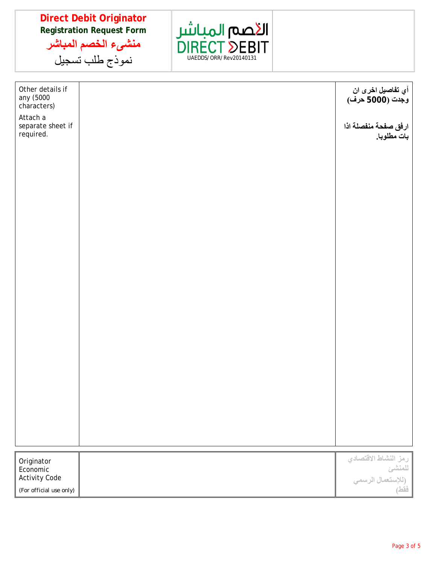**Direct Debit Originator Registration Request Form منشىء الخصم المباشر**

نموذج طلب تسجيل



| Other details if<br>any (5000<br>characters) | أي تفاصيل اخرى ان<br>وجدت (5000 حرف)                                        |
|----------------------------------------------|-----------------------------------------------------------------------------|
| Attach a<br>separate sheet if<br>required.   | ارفق صفحة منفصلة اذا<br>بات مطلوبا.                                         |
|                                              |                                                                             |
|                                              |                                                                             |
|                                              |                                                                             |
|                                              |                                                                             |
|                                              |                                                                             |
|                                              |                                                                             |
|                                              |                                                                             |
|                                              |                                                                             |
|                                              |                                                                             |
|                                              |                                                                             |
|                                              |                                                                             |
|                                              |                                                                             |
|                                              |                                                                             |
|                                              |                                                                             |
|                                              |                                                                             |
|                                              |                                                                             |
| Originator<br>Economic                       | رمز النشاط الاقتصادي<br>للمنش <i>ئ</i><br>(للإستعمال الرسم <i>ي</i><br>فقط) |
| <b>Activity Code</b>                         |                                                                             |
| (For official use only)                      |                                                                             |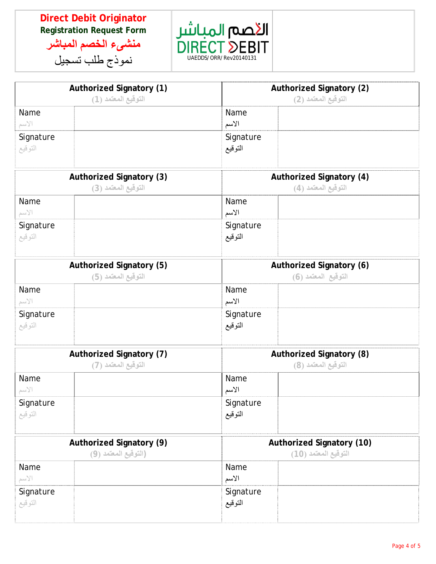## **Direct Debit Originator Registration Request Form منشىء الخصم المباشر**

نموذج طلب تسجيل

الأصم المباشر **RECT DEBIT** UAEDDS/ORR/Rev20140131

|                      | <b>Authorized Signatory (1)</b><br>التوقيع المعتمد (1)  | <b>Authorized Signatory (2)</b><br>التوقيع المعتمد (2)   |                                                 |  |  |  |  |  |
|----------------------|---------------------------------------------------------|----------------------------------------------------------|-------------------------------------------------|--|--|--|--|--|
| Name<br>الاسم        |                                                         | Name<br>الأسم                                            |                                                 |  |  |  |  |  |
| Signature<br>التوقيع |                                                         | Signature<br>التوقيع                                     |                                                 |  |  |  |  |  |
|                      | <b>Authorized Signatory (3)</b><br>التوقيع المعتمد (3)  | <b>Authorized Signatory (4)</b><br>التوقيع المعتمد (4)   |                                                 |  |  |  |  |  |
| Name<br>الاسم        |                                                         | Name<br>الأسم                                            |                                                 |  |  |  |  |  |
| Signature<br>التوقيع |                                                         | Signature<br>التوقيع                                     |                                                 |  |  |  |  |  |
|                      | Authorized Signatory (5)<br>التوقيع المعتمد (5)         | <b>Authorized Signatory (6)</b><br>التوقيع المعتمد (6)   |                                                 |  |  |  |  |  |
| Name<br>الاسم        |                                                         | Name<br>الأسم                                            |                                                 |  |  |  |  |  |
| Signature<br>التوقيع |                                                         | Signature<br>التوقيع                                     |                                                 |  |  |  |  |  |
|                      | <b>Authorized Signatory (7)</b><br>التوقيع المعتمد (7)  |                                                          | Authorized Signatory (8)<br>التوقيع المعتمد (8) |  |  |  |  |  |
| Name<br>الاسم        |                                                         | Name<br>الأسم                                            |                                                 |  |  |  |  |  |
| Signature<br>التوقيع |                                                         | Signature<br>التوقيع                                     |                                                 |  |  |  |  |  |
|                      | <b>Authorized Signatory (9)</b><br>(التوقيع المعتمد (9) | <b>Authorized Signatory (10)</b><br>التوقيع المعتمد (10) |                                                 |  |  |  |  |  |
| Name<br>الاسم        |                                                         | Name<br>الأسم                                            |                                                 |  |  |  |  |  |
| Signature<br>التوقيع |                                                         | Signature<br>التوقيع                                     |                                                 |  |  |  |  |  |